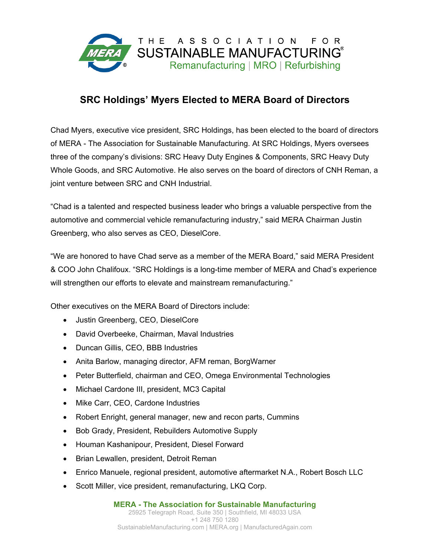

## **SRC Holdings' Myers Elected to MERA Board of Directors**

Chad Myers, executive vice president, SRC Holdings, has been elected to the board of directors of MERA - The Association for Sustainable Manufacturing. At SRC Holdings, Myers oversees three of the company's divisions: SRC Heavy Duty Engines & Components, SRC Heavy Duty Whole Goods, and SRC Automotive. He also serves on the board of directors of CNH Reman, a joint venture between SRC and CNH Industrial.

"Chad is a talented and respected business leader who brings a valuable perspective from the automotive and commercial vehicle remanufacturing industry," said MERA Chairman Justin Greenberg, who also serves as CEO, DieselCore.

"We are honored to have Chad serve as a member of the MERA Board," said MERA President & COO John Chalifoux. "SRC Holdings is a long-time member of MERA and Chad's experience will strengthen our efforts to elevate and mainstream remanufacturing."

Other executives on the MERA Board of Directors include:

- Justin Greenberg, CEO, DieselCore
- David Overbeeke, Chairman, Maval Industries
- Duncan Gillis, CEO, BBB Industries
- Anita Barlow, managing director, AFM reman, BorgWarner
- Peter Butterfield, chairman and CEO, Omega Environmental Technologies
- Michael Cardone III, president, MC3 Capital
- Mike Carr, CEO, Cardone Industries
- Robert Enright, general manager, new and recon parts, Cummins
- Bob Grady, President, Rebuilders Automotive Supply
- Houman Kashanipour, President, Diesel Forward
- Brian Lewallen, president, Detroit Reman
- Enrico Manuele, regional president, automotive aftermarket N.A., Robert Bosch LLC
- Scott Miller, vice president, remanufacturing, LKQ Corp.